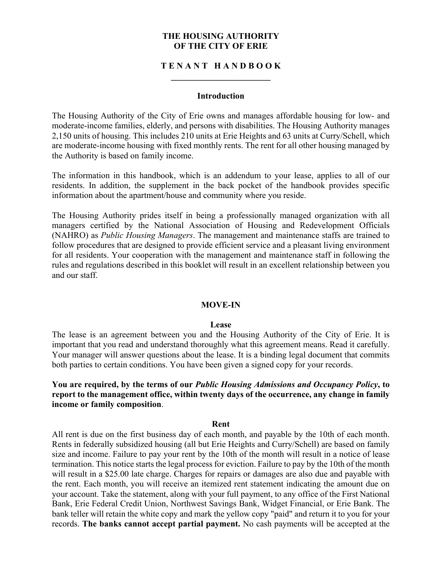#### **THE HOUSING AUTHORITY OF THE CITY OF ERIE**

### **T E N A N T H A N D B O O K \_\_\_\_\_\_\_\_\_\_\_\_\_\_\_\_\_\_\_\_\_\_\_**

#### **Introduction**

The Housing Authority of the City of Erie owns and manages affordable housing for low- and moderate-income families, elderly, and persons with disabilities. The Housing Authority manages 2,150 units of housing. This includes 210 units at Erie Heights and 63 units at Curry/Schell, which are moderate-income housing with fixed monthly rents. The rent for all other housing managed by the Authority is based on family income.

The information in this handbook, which is an addendum to your lease, applies to all of our residents. In addition, the supplement in the back pocket of the handbook provides specific information about the apartment/house and community where you reside.

The Housing Authority prides itself in being a professionally managed organization with all managers certified by the National Association of Housing and Redevelopment Officials (NAHRO) as *Public Housing Managers*. The management and maintenance staffs are trained to follow procedures that are designed to provide efficient service and a pleasant living environment for all residents. Your cooperation with the management and maintenance staff in following the rules and regulations described in this booklet will result in an excellent relationship between you and our staff.

#### **MOVE-IN**

#### **Lease**

The lease is an agreement between you and the Housing Authority of the City of Erie. It is important that you read and understand thoroughly what this agreement means. Read it carefully. Your manager will answer questions about the lease. It is a binding legal document that commits both parties to certain conditions. You have been given a signed copy for your records.

**You are required, by the terms of our** *Public Housing Admissions and Occupancy Policy***, to report to the management office, within twenty days of the occurrence, any change in family income or family composition**.

#### **Rent**

All rent is due on the first business day of each month, and payable by the 10th of each month. Rents in federally subsidized housing (all but Erie Heights and Curry/Schell) are based on family size and income. Failure to pay your rent by the 10th of the month will result in a notice of lease termination. This notice starts the legal process for eviction. Failure to pay by the 10th of the month will result in a \$25.00 late charge. Charges for repairs or damages are also due and payable with the rent. Each month, you will receive an itemized rent statement indicating the amount due on your account. Take the statement, along with your full payment, to any office of the First National Bank, Erie Federal Credit Union, Northwest Savings Bank, Widget Financial, or Erie Bank. The bank teller will retain the white copy and mark the yellow copy "paid" and return it to you for your records. **The banks cannot accept partial payment.** No cash payments will be accepted at the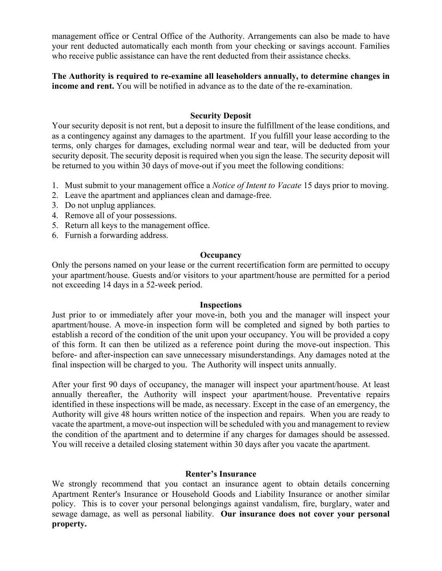management office or Central Office of the Authority. Arrangements can also be made to have your rent deducted automatically each month from your checking or savings account. Families who receive public assistance can have the rent deducted from their assistance checks.

**The Authority is required to re-examine all leaseholders annually, to determine changes in income and rent.** You will be notified in advance as to the date of the re-examination.

# **Security Deposit**

Your security deposit is not rent, but a deposit to insure the fulfillment of the lease conditions, and as a contingency against any damages to the apartment. If you fulfill your lease according to the terms, only charges for damages, excluding normal wear and tear, will be deducted from your security deposit. The security deposit is required when you sign the lease. The security deposit will be returned to you within 30 days of move-out if you meet the following conditions:

- 1. Must submit to your management office a *Notice of Intent to Vacate* 15 days prior to moving.
- 2. Leave the apartment and appliances clean and damage-free.
- 3. Do not unplug appliances.
- 4. Remove all of your possessions.
- 5. Return all keys to the management office.
- 6. Furnish a forwarding address.

#### **Occupancy**

Only the persons named on your lease or the current recertification form are permitted to occupy your apartment/house. Guests and/or visitors to your apartment/house are permitted for a period not exceeding 14 days in a 52-week period.

#### **Inspections**

Just prior to or immediately after your move-in, both you and the manager will inspect your apartment/house. A move-in inspection form will be completed and signed by both parties to establish a record of the condition of the unit upon your occupancy. You will be provided a copy of this form. It can then be utilized as a reference point during the move-out inspection. This before- and after-inspection can save unnecessary misunderstandings. Any damages noted at the final inspection will be charged to you. The Authority will inspect units annually.

After your first 90 days of occupancy, the manager will inspect your apartment/house. At least annually thereafter, the Authority will inspect your apartment/house. Preventative repairs identified in these inspections will be made, as necessary. Except in the case of an emergency, the Authority will give 48 hours written notice of the inspection and repairs. When you are ready to vacate the apartment, a move-out inspection will be scheduled with you and management to review the condition of the apartment and to determine if any charges for damages should be assessed. You will receive a detailed closing statement within 30 days after you vacate the apartment.

#### **Renter's Insurance**

We strongly recommend that you contact an insurance agent to obtain details concerning Apartment Renter's Insurance or Household Goods and Liability Insurance or another similar policy. This is to cover your personal belongings against vandalism, fire, burglary, water and sewage damage, as well as personal liability. **Our insurance does not cover your personal property.**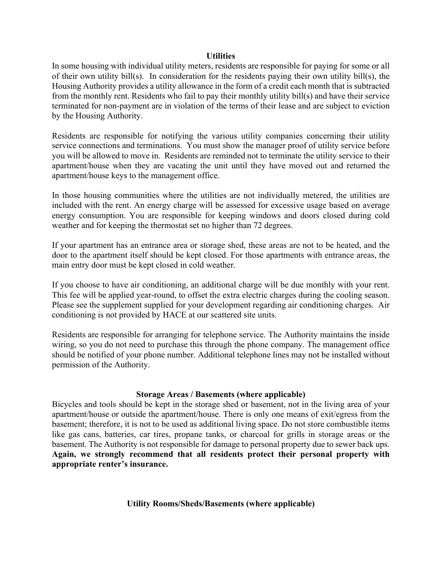#### **Utilities**

In some housing with individual utility meters, residents are responsible for paying for some or all of their own utility bill(s). In consideration for the residents paying their own utility bill(s), the Housing Authority provides a utility allowance in the form of a credit each month that is subtracted from the monthly rent. Residents who fail to pay their monthly utility bill(s) and have their service terminated for non-payment are in violation of the terms of their lease and are subject to eviction by the Housing Authority.

Residents are responsible for notifying the various utility companies concerning their utility service connections and terminations. You must show the manager proof of utility service before you will be allowed to move in. Residents are reminded not to terminate the utility service to their apartment/house when they are vacating the unit until they have moved out and returned the apartment/house keys to the management office.

In those housing communities where the utilities are not individually metered, the utilities are included with the rent. An energy charge will be assessed for excessive usage based on average energy consumption. You are responsible for keeping windows and doors closed during cold weather and for keeping the thermostat set no higher than 72 degrees.

If your apartment has an entrance area or storage shed, these areas are not to be heated, and the door to the apartment itself should be kept closed. For those apartments with entrance areas, the main entry door must be kept closed in cold weather.

If you choose to have air conditioning, an additional charge will be due monthly with your rent. This fee will be applied year-round, to offset the extra electric charges during the cooling season. Please see the supplement supplied for your development regarding air conditioning charges. Air conditioning is not provided by HACE at our scattered site units.

Residents are responsible for arranging for telephone service. The Authority maintains the inside wiring, so you do not need to purchase this through the phone company. The management office should be notified of your phone number. Additional telephone lines may not be installed without permission of the Authority.

### **Storage Areas / Basements (where applicable)**

Bicycles and tools should be kept in the storage shed or basement, not in the living area of your apartment/house or outside the apartment/house. There is only one means of exit/egress from the basement; therefore, it is not to be used as additional living space. Do not store combustible items like gas cans, batteries, car tires, propane tanks, or charcoal for grills in storage areas or the basement. The Authority is not responsible for damage to personal property due to sewer back ups. **Again, we strongly recommend that all residents protect their personal property with appropriate renter's insurance.**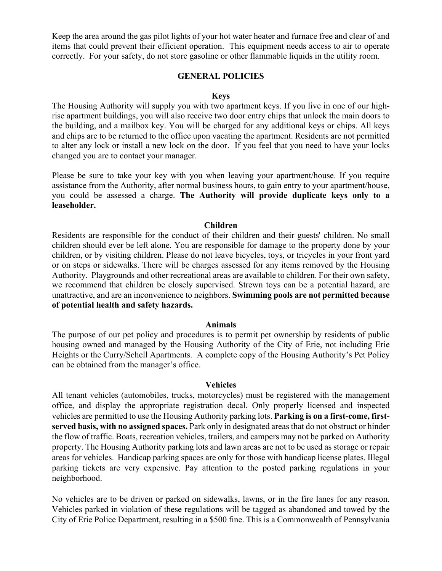Keep the area around the gas pilot lights of your hot water heater and furnace free and clear of and items that could prevent their efficient operation. This equipment needs access to air to operate correctly. For your safety, do not store gasoline or other flammable liquids in the utility room.

#### **GENERAL POLICIES**

#### **Keys**

The Housing Authority will supply you with two apartment keys. If you live in one of our highrise apartment buildings, you will also receive two door entry chips that unlock the main doors to the building, and a mailbox key. You will be charged for any additional keys or chips. All keys and chips are to be returned to the office upon vacating the apartment. Residents are not permitted to alter any lock or install a new lock on the door. If you feel that you need to have your locks changed you are to contact your manager.

Please be sure to take your key with you when leaving your apartment/house. If you require assistance from the Authority, after normal business hours, to gain entry to your apartment/house, you could be assessed a charge. **The Authority will provide duplicate keys only to a leaseholder.**

#### **Children**

Residents are responsible for the conduct of their children and their guests' children. No small children should ever be left alone. You are responsible for damage to the property done by your children, or by visiting children. Please do not leave bicycles, toys, or tricycles in your front yard or on steps or sidewalks. There will be charges assessed for any items removed by the Housing Authority. Playgrounds and other recreational areas are available to children. For their own safety, we recommend that children be closely supervised. Strewn toys can be a potential hazard, are unattractive, and are an inconvenience to neighbors. **Swimming pools are not permitted because of potential health and safety hazards.**

#### **Animals**

The purpose of our pet policy and procedures is to permit pet ownership by residents of public housing owned and managed by the Housing Authority of the City of Erie, not including Erie Heights or the Curry/Schell Apartments. A complete copy of the Housing Authority's Pet Policy can be obtained from the manager's office.

#### **Vehicles**

All tenant vehicles (automobiles, trucks, motorcycles) must be registered with the management office, and display the appropriate registration decal. Only properly licensed and inspected vehicles are permitted to use the Housing Authority parking lots. **Parking is on a first-come, firstserved basis, with no assigned spaces.** Park only in designated areas that do not obstruct or hinder the flow of traffic. Boats, recreation vehicles, trailers, and campers may not be parked on Authority property. The Housing Authority parking lots and lawn areas are not to be used as storage or repair areas for vehicles. Handicap parking spaces are only for those with handicap license plates. Illegal parking tickets are very expensive. Pay attention to the posted parking regulations in your neighborhood.

No vehicles are to be driven or parked on sidewalks, lawns, or in the fire lanes for any reason. Vehicles parked in violation of these regulations will be tagged as abandoned and towed by the City of Erie Police Department, resulting in a \$500 fine. This is a Commonwealth of Pennsylvania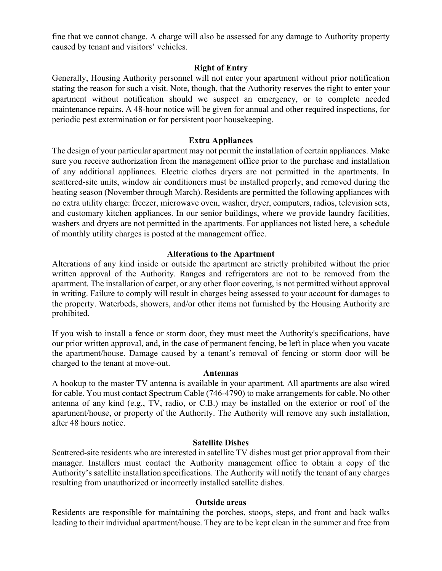fine that we cannot change. A charge will also be assessed for any damage to Authority property caused by tenant and visitors' vehicles.

### **Right of Entry**

Generally, Housing Authority personnel will not enter your apartment without prior notification stating the reason for such a visit. Note, though, that the Authority reserves the right to enter your apartment without notification should we suspect an emergency, or to complete needed maintenance repairs. A 48-hour notice will be given for annual and other required inspections, for periodic pest extermination or for persistent poor housekeeping.

### **Extra Appliances**

The design of your particular apartment may not permit the installation of certain appliances. Make sure you receive authorization from the management office prior to the purchase and installation of any additional appliances. Electric clothes dryers are not permitted in the apartments. In scattered-site units, window air conditioners must be installed properly, and removed during the heating season (November through March). Residents are permitted the following appliances with no extra utility charge: freezer, microwave oven, washer, dryer, computers, radios, television sets, and customary kitchen appliances. In our senior buildings, where we provide laundry facilities, washers and dryers are not permitted in the apartments. For appliances not listed here, a schedule of monthly utility charges is posted at the management office.

### **Alterations to the Apartment**

Alterations of any kind inside or outside the apartment are strictly prohibited without the prior written approval of the Authority. Ranges and refrigerators are not to be removed from the apartment. The installation of carpet, or any other floor covering, is not permitted without approval in writing. Failure to comply will result in charges being assessed to your account for damages to the property. Waterbeds, showers, and/or other items not furnished by the Housing Authority are prohibited.

If you wish to install a fence or storm door, they must meet the Authority's specifications, have our prior written approval, and, in the case of permanent fencing, be left in place when you vacate the apartment/house. Damage caused by a tenant's removal of fencing or storm door will be charged to the tenant at move-out.

### **Antennas**

A hookup to the master TV antenna is available in your apartment. All apartments are also wired for cable. You must contact Spectrum Cable (746-4790) to make arrangements for cable. No other antenna of any kind (e.g., TV, radio, or C.B.) may be installed on the exterior or roof of the apartment/house, or property of the Authority. The Authority will remove any such installation, after 48 hours notice.

### **Satellite Dishes**

Scattered-site residents who are interested in satellite TV dishes must get prior approval from their manager. Installers must contact the Authority management office to obtain a copy of the Authority's satellite installation specifications. The Authority will notify the tenant of any charges resulting from unauthorized or incorrectly installed satellite dishes.

### **Outside areas**

Residents are responsible for maintaining the porches, stoops, steps, and front and back walks leading to their individual apartment/house. They are to be kept clean in the summer and free from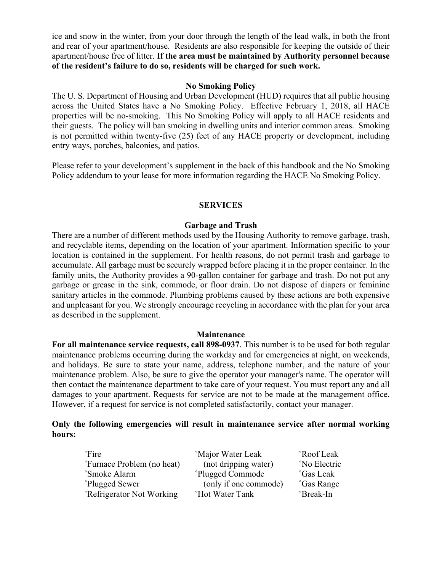ice and snow in the winter, from your door through the length of the lead walk, in both the front and rear of your apartment/house. Residents are also responsible for keeping the outside of their apartment/house free of litter. **If the area must be maintained by Authority personnel because of the resident's failure to do so, residents will be charged for such work.**

### **No Smoking Policy**

The U. S. Department of Housing and Urban Development (HUD) requires that all public housing across the United States have a No Smoking Policy. Effective February 1, 2018, all HACE properties will be no-smoking. This No Smoking Policy will apply to all HACE residents and their guests. The policy will ban smoking in dwelling units and interior common areas. Smoking is not permitted within twenty-five (25) feet of any HACE property or development, including entry ways, porches, balconies, and patios.

Please refer to your development's supplement in the back of this handbook and the No Smoking Policy addendum to your lease for more information regarding the HACE No Smoking Policy.

### **SERVICES**

#### **Garbage and Trash**

There are a number of different methods used by the Housing Authority to remove garbage, trash, and recyclable items, depending on the location of your apartment. Information specific to your location is contained in the supplement. For health reasons, do not permit trash and garbage to accumulate. All garbage must be securely wrapped before placing it in the proper container. In the family units, the Authority provides a 90-gallon container for garbage and trash. Do not put any garbage or grease in the sink, commode, or floor drain. Do not dispose of diapers or feminine sanitary articles in the commode. Plumbing problems caused by these actions are both expensive and unpleasant for you. We strongly encourage recycling in accordance with the plan for your area as described in the supplement.

#### **Maintenance**

**For all maintenance service requests, call 898-0937**. This number is to be used for both regular maintenance problems occurring during the workday and for emergencies at night, on weekends, and holidays. Be sure to state your name, address, telephone number, and the nature of your maintenance problem. Also, be sure to give the operator your manager's name. The operator will then contact the maintenance department to take care of your request. You must report any and all damages to your apartment. Requests for service are not to be made at the management office. However, if a request for service is not completed satisfactorily, contact your manager.

### **Only the following emergencies will result in maintenance service after normal working hours:**

| $\degree$ Fire                        | <sup>o</sup> Major Water Leak | <sup>°</sup> Roof Leak |
|---------------------------------------|-------------------------------|------------------------|
| "Furnace Problem (no heat)            | (not dripping water)          | °No Electric           |
| <sup>°</sup> Smoke Alarm              | Plugged Commode               | °Gas Leak              |
| Plugged Sewer                         | (only if one commode)         | <sup>°</sup> Gas Range |
| <sup>°</sup> Refrigerator Not Working | <b>Hot Water Tank</b>         | <sup>°</sup> Break-In  |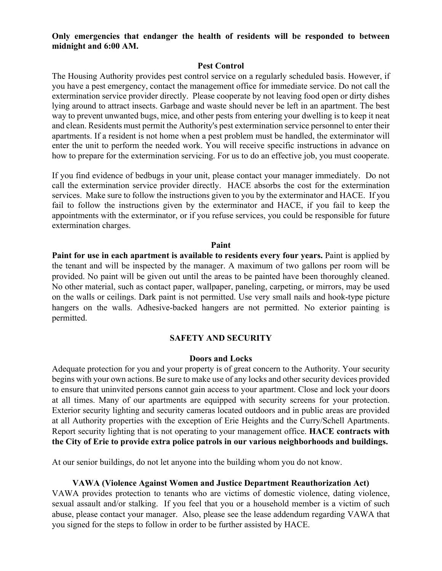#### **Only emergencies that endanger the health of residents will be responded to between midnight and 6:00 AM.**

#### **Pest Control**

The Housing Authority provides pest control service on a regularly scheduled basis. However, if you have a pest emergency, contact the management office for immediate service. Do not call the extermination service provider directly. Please cooperate by not leaving food open or dirty dishes lying around to attract insects. Garbage and waste should never be left in an apartment. The best way to prevent unwanted bugs, mice, and other pests from entering your dwelling is to keep it neat and clean. Residents must permit the Authority's pest extermination service personnel to enter their apartments. If a resident is not home when a pest problem must be handled, the exterminator will enter the unit to perform the needed work. You will receive specific instructions in advance on how to prepare for the extermination servicing. For us to do an effective job, you must cooperate.

If you find evidence of bedbugs in your unit, please contact your manager immediately. Do not call the extermination service provider directly. HACE absorbs the cost for the extermination services. Make sure to follow the instructions given to you by the exterminator and HACE. If you fail to follow the instructions given by the exterminator and HACE, if you fail to keep the appointments with the exterminator, or if you refuse services, you could be responsible for future extermination charges.

#### **Paint**

**Paint for use in each apartment is available to residents every four years.** Paint is applied by the tenant and will be inspected by the manager. A maximum of two gallons per room will be provided. No paint will be given out until the areas to be painted have been thoroughly cleaned. No other material, such as contact paper, wallpaper, paneling, carpeting, or mirrors, may be used on the walls or ceilings. Dark paint is not permitted. Use very small nails and hook-type picture hangers on the walls. Adhesive-backed hangers are not permitted. No exterior painting is permitted.

### **SAFETY AND SECURITY**

#### **Doors and Locks**

Adequate protection for you and your property is of great concern to the Authority. Your security begins with your own actions. Be sure to make use of any locks and other security devices provided to ensure that uninvited persons cannot gain access to your apartment. Close and lock your doors at all times. Many of our apartments are equipped with security screens for your protection. Exterior security lighting and security cameras located outdoors and in public areas are provided at all Authority properties with the exception of Erie Heights and the Curry/Schell Apartments. Report security lighting that is not operating to your management office. **HACE contracts with the City of Erie to provide extra police patrols in our various neighborhoods and buildings.**

At our senior buildings, do not let anyone into the building whom you do not know.

#### **VAWA (Violence Against Women and Justice Department Reauthorization Act)**

VAWA provides protection to tenants who are victims of domestic violence, dating violence, sexual assault and/or stalking. If you feel that you or a household member is a victim of such abuse, please contact your manager. Also, please see the lease addendum regarding VAWA that you signed for the steps to follow in order to be further assisted by HACE.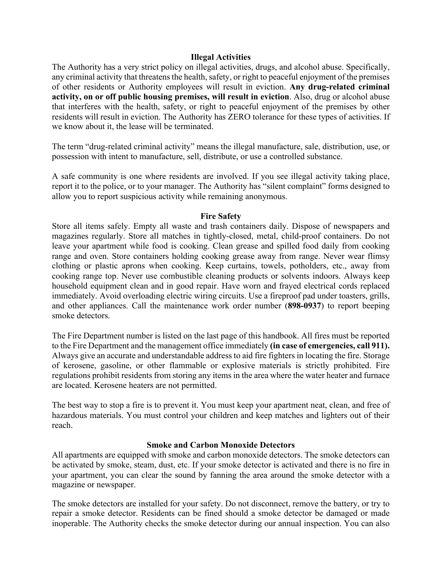#### **Illegal Activities**

The Authority has a very strict policy on illegal activities, drugs, and alcohol abuse. Specifically, any criminal activity that threatens the health, safety, or right to peaceful enjoyment of the premises of other residents or Authority employees will result in eviction. **Any drug-related criminal activity, on or off public housing premises, will result in eviction**. Also, drug or alcohol abuse that interferes with the health, safety, or right to peaceful enjoyment of the premises by other residents will result in eviction. The Authority has ZERO tolerance for these types of activities. If we know about it, the lease will be terminated.

The term "drug-related criminal activity" means the illegal manufacture, sale, distribution, use, or possession with intent to manufacture, sell, distribute, or use a controlled substance.

A safe community is one where residents are involved. If you see illegal activity taking place, report it to the police, or to your manager. The Authority has "silent complaint" forms designed to allow you to report suspicious activity while remaining anonymous.

#### **Fire Safety**

Store all items safely. Empty all waste and trash containers daily. Dispose of newspapers and magazines regularly. Store all matches in tightly-closed, metal, child-proof containers. Do not leave your apartment while food is cooking. Clean grease and spilled food daily from cooking range and oven. Store containers holding cooking grease away from range. Never wear flimsy clothing or plastic aprons when cooking. Keep curtains, towels, potholders, etc., away from cooking range top. Never use combustible cleaning products or solvents indoors. Always keep household equipment clean and in good repair. Have worn and frayed electrical cords replaced immediately. Avoid overloading electric wiring circuits. Use a fireproof pad under toasters, grills, and other appliances. Call the maintenance work order number (**898-0937**) to report beeping smoke detectors.

The Fire Department number is listed on the last page of this handbook. All fires must be reported to the Fire Department and the management office immediately **(in case of emergencies, call 911).**  Always give an accurate and understandable address to aid fire fighters in locating the fire. Storage of kerosene, gasoline, or other flammable or explosive materials is strictly prohibited. Fire regulations prohibit residents from storing any items in the area where the water heater and furnace are located. Kerosene heaters are not permitted.

The best way to stop a fire is to prevent it. You must keep your apartment neat, clean, and free of hazardous materials. You must control your children and keep matches and lighters out of their reach.

### **Smoke and Carbon Monoxide Detectors**

All apartments are equipped with smoke and carbon monoxide detectors. The smoke detectors can be activated by smoke, steam, dust, etc. If your smoke detector is activated and there is no fire in your apartment, you can clear the sound by fanning the area around the smoke detector with a magazine or newspaper.

The smoke detectors are installed for your safety. Do not disconnect, remove the battery, or try to repair a smoke detector. Residents can be fined should a smoke detector be damaged or made inoperable. The Authority checks the smoke detector during our annual inspection. You can also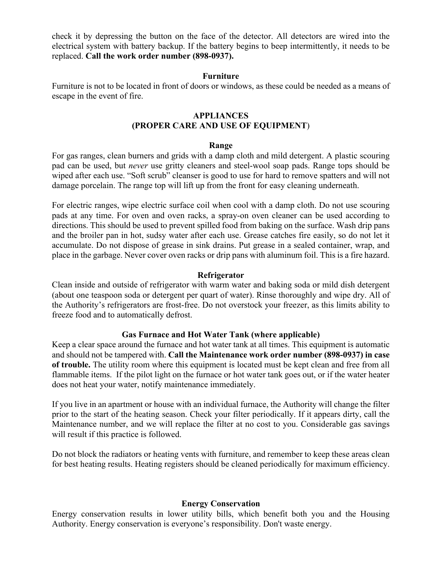check it by depressing the button on the face of the detector. All detectors are wired into the electrical system with battery backup. If the battery begins to beep intermittently, it needs to be replaced. **Call the work order number (898-0937).**

#### **Furniture**

Furniture is not to be located in front of doors or windows, as these could be needed as a means of escape in the event of fire.

#### **APPLIANCES (PROPER CARE AND USE OF EQUIPMENT**)

#### **Range**

For gas ranges, clean burners and grids with a damp cloth and mild detergent. A plastic scouring pad can be used, but *never* use gritty cleaners and steel-wool soap pads. Range tops should be wiped after each use. "Soft scrub" cleanser is good to use for hard to remove spatters and will not damage porcelain. The range top will lift up from the front for easy cleaning underneath.

For electric ranges, wipe electric surface coil when cool with a damp cloth. Do not use scouring pads at any time. For oven and oven racks, a spray-on oven cleaner can be used according to directions. This should be used to prevent spilled food from baking on the surface. Wash drip pans and the broiler pan in hot, sudsy water after each use. Grease catches fire easily, so do not let it accumulate. Do not dispose of grease in sink drains. Put grease in a sealed container, wrap, and place in the garbage. Never cover oven racks or drip pans with aluminum foil. This is a fire hazard.

### **Refrigerator**

Clean inside and outside of refrigerator with warm water and baking soda or mild dish detergent (about one teaspoon soda or detergent per quart of water). Rinse thoroughly and wipe dry. All of the Authority's refrigerators are frost-free. Do not overstock your freezer, as this limits ability to freeze food and to automatically defrost.

### **Gas Furnace and Hot Water Tank (where applicable)**

Keep a clear space around the furnace and hot water tank at all times. This equipment is automatic and should not be tampered with. **Call the Maintenance work order number (898-0937) in case of trouble.** The utility room where this equipment is located must be kept clean and free from all flammable items. If the pilot light on the furnace or hot water tank goes out, or if the water heater does not heat your water, notify maintenance immediately.

If you live in an apartment or house with an individual furnace, the Authority will change the filter prior to the start of the heating season. Check your filter periodically. If it appears dirty, call the Maintenance number, and we will replace the filter at no cost to you. Considerable gas savings will result if this practice is followed.

Do not block the radiators or heating vents with furniture, and remember to keep these areas clean for best heating results. Heating registers should be cleaned periodically for maximum efficiency.

### **Energy Conservation**

Energy conservation results in lower utility bills, which benefit both you and the Housing Authority. Energy conservation is everyone's responsibility. Don't waste energy.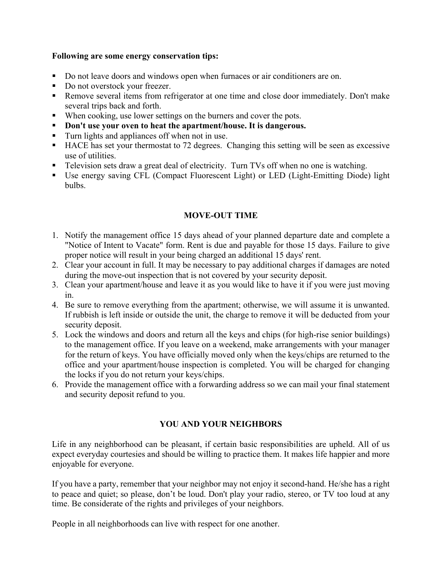### **Following are some energy conservation tips:**

- Do not leave doors and windows open when furnaces or air conditioners are on.
- Do not overstock your freezer.
- Remove several items from refrigerator at one time and close door immediately. Don't make several trips back and forth.
- When cooking, use lower settings on the burners and cover the pots.
- § **Don't use your oven to heat the apartment/house. It is dangerous.**
- Turn lights and appliances off when not in use.
- HACE has set your thermostat to 72 degrees. Changing this setting will be seen as excessive use of utilities.
- Television sets draw a great deal of electricity. Turn TVs off when no one is watching.
- Use energy saving CFL (Compact Fluorescent Light) or LED (Light-Emitting Diode) light bulbs.

## **MOVE-OUT TIME**

- 1. Notify the management office 15 days ahead of your planned departure date and complete a "Notice of Intent to Vacate" form. Rent is due and payable for those 15 days. Failure to give proper notice will result in your being charged an additional 15 days' rent.
- 2. Clear your account in full. It may be necessary to pay additional charges if damages are noted during the move-out inspection that is not covered by your security deposit.
- 3. Clean your apartment/house and leave it as you would like to have it if you were just moving in.
- 4. Be sure to remove everything from the apartment; otherwise, we will assume it is unwanted. If rubbish is left inside or outside the unit, the charge to remove it will be deducted from your security deposit.
- 5. Lock the windows and doors and return all the keys and chips (for high-rise senior buildings) to the management office. If you leave on a weekend, make arrangements with your manager for the return of keys. You have officially moved only when the keys/chips are returned to the office and your apartment/house inspection is completed. You will be charged for changing the locks if you do not return your keys/chips.
- 6. Provide the management office with a forwarding address so we can mail your final statement and security deposit refund to you.

# **YOU AND YOUR NEIGHBORS**

Life in any neighborhood can be pleasant, if certain basic responsibilities are upheld. All of us expect everyday courtesies and should be willing to practice them. It makes life happier and more enjoyable for everyone.

If you have a party, remember that your neighbor may not enjoy it second-hand. He/she has a right to peace and quiet; so please, don't be loud. Don't play your radio, stereo, or TV too loud at any time. Be considerate of the rights and privileges of your neighbors.

People in all neighborhoods can live with respect for one another.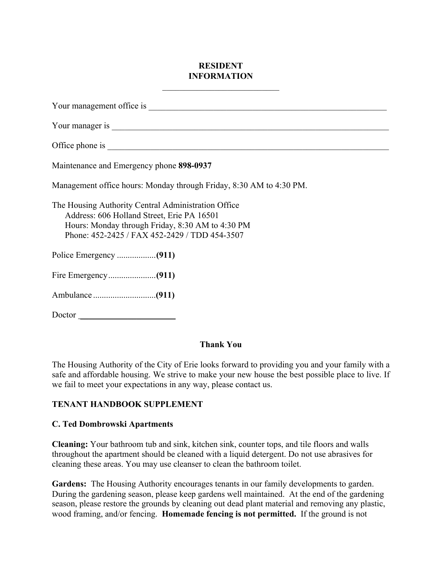# **RESIDENT INFORMATION**

| Maintenance and Emergency phone 898-0937                                                                                                                                                               |
|--------------------------------------------------------------------------------------------------------------------------------------------------------------------------------------------------------|
| Management office hours: Monday through Friday, 8:30 AM to 4:30 PM.                                                                                                                                    |
| The Housing Authority Central Administration Office<br>Address: 606 Holland Street, Erie PA 16501<br>Hours: Monday through Friday, 8:30 AM to 4:30 PM<br>Phone: 452-2425 / FAX 452-2429 / TDD 454-3507 |
|                                                                                                                                                                                                        |
|                                                                                                                                                                                                        |
|                                                                                                                                                                                                        |
| Doctor                                                                                                                                                                                                 |

# **Thank You**

The Housing Authority of the City of Erie looks forward to providing you and your family with a safe and affordable housing. We strive to make your new house the best possible place to live. If we fail to meet your expectations in any way, please contact us.

# **TENANT HANDBOOK SUPPLEMENT**

# **C. Ted Dombrowski Apartments**

**Cleaning:** Your bathroom tub and sink, kitchen sink, counter tops, and tile floors and walls throughout the apartment should be cleaned with a liquid detergent. Do not use abrasives for cleaning these areas. You may use cleanser to clean the bathroom toilet.

**Gardens:** The Housing Authority encourages tenants in our family developments to garden. During the gardening season, please keep gardens well maintained. At the end of the gardening season, please restore the grounds by cleaning out dead plant material and removing any plastic, wood framing, and/or fencing. **Homemade fencing is not permitted.** If the ground is not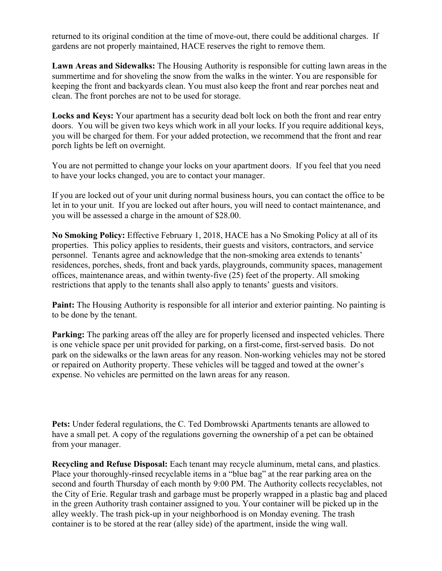returned to its original condition at the time of move-out, there could be additional charges. If gardens are not properly maintained, HACE reserves the right to remove them.

**Lawn Areas and Sidewalks:** The Housing Authority is responsible for cutting lawn areas in the summertime and for shoveling the snow from the walks in the winter. You are responsible for keeping the front and backyards clean. You must also keep the front and rear porches neat and clean. The front porches are not to be used for storage.

**Locks and Keys:** Your apartment has a security dead bolt lock on both the front and rear entry doors. You will be given two keys which work in all your locks. If you require additional keys, you will be charged for them. For your added protection, we recommend that the front and rear porch lights be left on overnight.

You are not permitted to change your locks on your apartment doors. If you feel that you need to have your locks changed, you are to contact your manager.

If you are locked out of your unit during normal business hours, you can contact the office to be let in to your unit. If you are locked out after hours, you will need to contact maintenance, and you will be assessed a charge in the amount of \$28.00.

**No Smoking Policy:** Effective February 1, 2018, HACE has a No Smoking Policy at all of its properties. This policy applies to residents, their guests and visitors, contractors, and service personnel. Tenants agree and acknowledge that the non-smoking area extends to tenants' residences, porches, sheds, front and back yards, playgrounds, community spaces, management offices, maintenance areas, and within twenty-five (25) feet of the property. All smoking restrictions that apply to the tenants shall also apply to tenants' guests and visitors.

**Paint:** The Housing Authority is responsible for all interior and exterior painting. No painting is to be done by the tenant.

**Parking:** The parking areas off the alley are for properly licensed and inspected vehicles. There is one vehicle space per unit provided for parking, on a first-come, first-served basis. Do not park on the sidewalks or the lawn areas for any reason. Non-working vehicles may not be stored or repaired on Authority property. These vehicles will be tagged and towed at the owner's expense. No vehicles are permitted on the lawn areas for any reason.

**Pets:** Under federal regulations, the C. Ted Dombrowski Apartments tenants are allowed to have a small pet. A copy of the regulations governing the ownership of a pet can be obtained from your manager.

**Recycling and Refuse Disposal:** Each tenant may recycle aluminum, metal cans, and plastics. Place your thoroughly-rinsed recyclable items in a "blue bag" at the rear parking area on the second and fourth Thursday of each month by 9:00 PM. The Authority collects recyclables, not the City of Erie. Regular trash and garbage must be properly wrapped in a plastic bag and placed in the green Authority trash container assigned to you. Your container will be picked up in the alley weekly. The trash pick-up in your neighborhood is on Monday evening. The trash container is to be stored at the rear (alley side) of the apartment, inside the wing wall.